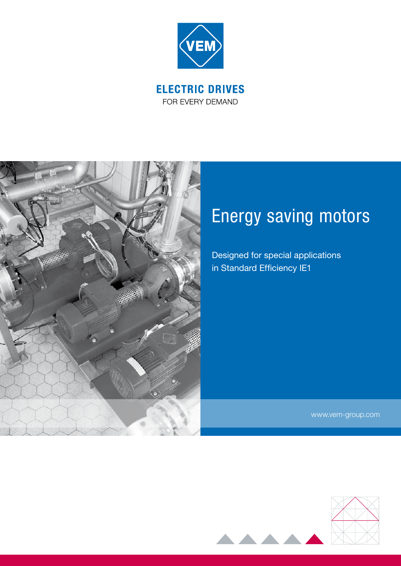

FOR EVERY DEMAND



# Energy saving motors

Designed for special applications in Standard Efficiency IE1

www.vem-group.com

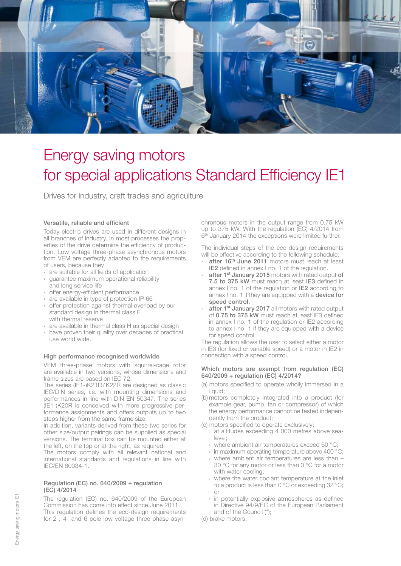

## Energy saving motors for special applications Standard Efficiency IE1

Drives for industry, craft trades and agriculture

### Versatile, reliable and efficient

Today electric drives are used in different designs in all branches of industry. In most processes the properties of the drive determine the efficiency of production. Low voltage three-phase asynchronous motors from VEM are perfectly adapted to the requirements of users, because they

- › are suitable for all fields of application
- › guarantee maximum operational reliability and long service life
- › offer energy-efficient performance
- › are available in type of protection IP 66
- › offer protection against thermal overload by our standard design in thermal class F with thermal reserve
- › are available in thermal class H as special design
- › have proven their quality over decades of practical use world wide.

### High performance recognised worldwide

VEM three-phase motors with squirrel-cage rotor are available in two versions, whose dimensions and frame sizes are based on IEC 72.

The series (IE1-)K21R/K22R are designed as classic IEC/DIN series, i.e. with mounting dimensions and performances in line with DIN EN 50347. The series (IE1-)K20R is conceived with more progressive performance assignments and offers outputs up to two steps higher from the same frame size.

In addition, variants derived from these two series for other size/output pairings can be supplied as special versions. The terminal box can be mounted either at the left, on the top or at the right, as required.

The motors comply with all relevant national and international standards and regulations in line with IEC/EN 60034-1.

### Regulation (EC) no. 640/2009 + regulation (EC) 4/2014

The regulation (EC) no. 640/2009 of the European Commission has come into effect since June 2011. This regulation defines the eco-design requirements for 2-, 4- and 6-pole low-voltage three-phase asynchronous motors in the output range from 0.75 kW up to 375 kW. With the regulation (EC) 4/2014 from 6<sup>th</sup> January 2014 the exceptions were limited further.

The individual steps of the eco-design requirements will be effective according to the following schedule:

- after 16<sup>th</sup> June 2011 motors must reach at least IE2 defined in annex I no. 1 of the regulation.
- after 1<sup>st</sup> January 2015 motors with rated output of 7.5 to 375 kW must reach at least IE3 defined in annex I no. 1 of the regulation or IE2 according to annex I no. 1 if they are equipped with a device for speed control.
- after 1<sup>st</sup> January 2017 all motors with rated output of 0.75 to 375 kW must reach at least IE3 defined in annex I no. 1 of the regulation or IE2 according to annex I no. 1 if they are equipped with a device for speed control.

The regulation allows the user to select either a motor in IE3 (for fixed or variable speed) or a motor in IE2 in connection with a speed control.

### Which motors are exempt from regulation (EC) 640/2009 + regulation (EC) 4/2014?

- (a) motors specified to operate wholly immersed in a liquid:
- (b) motors completely integrated into a product (for example gear, pump, fan or compressor) of which the energy performance cannot be tested independently from the product;

(c) motors specified to operate exclusively:

- › at altitudes exceeding 4 000 metres above sealevel;
- › where ambient air temperatures exceed 60 °C;
- › in maximum operating temperature above 400 °C;
- › where ambient air temperatures are less than 30 °C for any motor or less than 0 °C for a motor with water cooling;
- › where the water coolant temperature at the inlet to a product is less than 0 °C or exceeding 32 °C; or
- › in potentially explosive atmospheres as defined in Directive 94/9/EC of the European Parliament and of the Council (\*);
- (d) brake motors.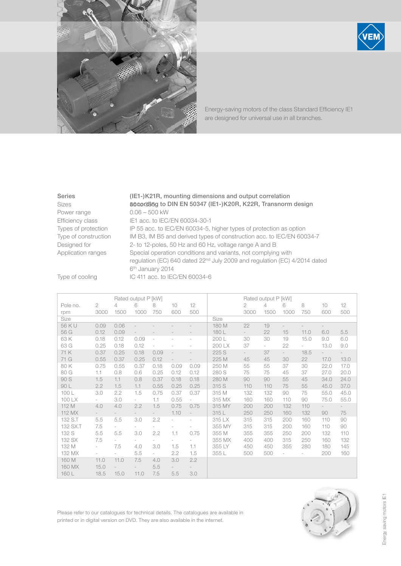

Energy-saving motors of the class Standard Efficiency IE1 are designed for universal use in all branches.

Power range 0.06 – 500 kW

Series (IE1-)K21R, mounting dimensions and output correlation Sizes **56 to 36 to 50347 (IE1-)K20R, K22R, Transnorm design** Efficiency class IE1 acc. to IEC/EN 60034-30-1 Types of protection IP 55 acc. to IEC/EN 60034-5, higher types of protection as option Type of construction IM B3, IM B5 and derived types of construction acc. to IEC/EN 60034-7 Designed for 2- to 12-poles, 50 Hz and 60 Hz, voltage range A and B Application ranges Special operation conditions and variants, not complying with regulation (EC) 640 dated 22nd July 2009 and regulation (EC) 4/2014 dated 6th January 2014

Type of cooling IC 411 acc. to IEC/EN 60034-6

|          |                          | Rated output P [kW] |                          |           |                          |                          |        | Rated output P [kW] |        |                          |        |                          |        |
|----------|--------------------------|---------------------|--------------------------|-----------|--------------------------|--------------------------|--------|---------------------|--------|--------------------------|--------|--------------------------|--------|
| Pole no. | $\mathbf{2}$             | $\overline{4}$      | 6                        | 8         | $10^{\circ}$             | 12                       |        | 2                   | 4      | 6                        | 8      | 10                       | 12     |
| rpm      | 3000                     | 1500                | 1000                     | 750       | 600                      | 500                      |        | 3000                | 1500   | 1000                     | 750    | 600                      | 500    |
| Size     |                          |                     |                          |           |                          |                          | Size   |                     |        |                          |        |                          |        |
| 56 K U   | 0.09                     | 0.06                |                          |           |                          |                          | 180 M  | 22                  | 19     | $\overline{\phantom{a}}$ |        | $\overline{\phantom{a}}$ |        |
| 56 G     | 0.12                     | 0.09                |                          |           |                          |                          | 180L   | $\sim$              | 22     | 15                       | 11.0   | 6.0                      | 5.5    |
| 63 K     | 0.18                     | 0.12                | 0.09                     | $\bar{ }$ |                          |                          | 200 L  | 30                  | 30     | 19                       | 15.0   | 9.0                      | 6.0    |
| 63 G     | 0.25                     | 0.18                | 0.12                     | $\bar{ }$ |                          |                          | 200 LX | 37                  | $\sim$ | 22                       | $\sim$ | 13.0                     | 9.0    |
| 71 K     | 0.37                     | 0.25                | 0.18                     | 0.09      | $\overline{a}$           |                          | 225 S  | $\sim$              | 37     | $\sim$                   | 18.5   | $\sim$                   | $\sim$ |
| 71 G     | 0.55                     | 0.37                | 0.25                     | 0.12      |                          |                          | 225 M  | 45                  | 45     | 30                       | 22     | 17.0                     | 13.0   |
| 80 K     | 0.75                     | 0.55                | 0.37                     | 0.18      | 0.09                     | 0.09                     | 250 M  | 55                  | 55     | 37                       | 30     | 22.0                     | 17.0   |
| 80 G     | 1.1                      | 0.8                 | 0.6                      | 0.25      | 0.12                     | 0.12                     | 280 S  | 75                  | 75     | 45                       | 37     | 27.0                     | 20.0   |
| 90 S     | 1.5                      | 1.1                 | 0.8                      | 0.37      | 0.18                     | 0.18                     | 280 M  | 90                  | 90     | 55                       | 45     | 34.0                     | 24.0   |
| 90 L     | 2.2                      | 1.5                 | 1.1                      | 0.55      | 0.25                     | 0.25                     | 315 S  | 110                 | 110    | 75                       | 55     | 45.0                     | 37.0   |
| 100L     | 3.0                      | 2.2                 | 1.5                      | 0.75      | 0.37                     | 0.37                     | 315 M  | 132                 | 132    | 90                       | 75     | 55.0                     | 45.0   |
| 100 LX   | $\sim$                   | 3.0                 | $\sim$                   | 1.1       | 0.55                     | $\overline{\phantom{a}}$ | 315 MX | 160                 | 160    | 110                      | 90     | 75.0                     | 55.0   |
| 112 M    | 4.0                      | 4.0                 | 2.2                      | 1.5       | 0.75                     | 0.75                     | 315 MY | 200                 | 200    | 132                      | 110    | $\sim$                   | $\sim$ |
| 112 MX   |                          |                     |                          |           | 1.10                     | $\qquad \qquad -$        | 315L   | 250                 | 250    | 160                      | 132    | 90                       | 75     |
| 132 S.T  | 5.5                      | 5.5                 | 3.0                      | 2.2       | $\overline{a}$           | $\bar{ }$                | 315 LX | 315                 | 315    | 200                      | 160    | 110                      | 90     |
| 132 SX.T | 7.5                      | $\sim$              | $\sim$                   |           | $\overline{\phantom{0}}$ |                          | 355 MY | 315                 | 315    | 200                      | 160    | 110                      | 90     |
| 132 S    | 5.5                      | 5.5                 | 3.0                      | 2.2       | 1.1                      | 0.75                     | 355 M  | 355                 | 355    | 250                      | 200    | 132                      | 110    |
| 132 SX   | 7.5                      |                     | $\sim$                   | $\sim$    | $\overline{\phantom{a}}$ | $\overline{\phantom{a}}$ | 355 MX | 400                 | 400    | 315                      | 250    | 160                      | 132    |
| 132 M    | $\overline{\phantom{a}}$ | 7.5                 | 4.0                      | 3.0       | 1.5                      | 1.1                      | 355 LY | 450                 | 450    | 355                      | 280    | 180                      | 145    |
| 132 MX   | $\overline{\phantom{a}}$ | $\sim$              | 5.5                      | $\sim$    | 2.2                      | 1.5                      | 355 L  | 500                 | 500    | $\overline{\phantom{a}}$ |        | 200                      | 160    |
| 160 M    | 11.0                     | 11.0                | 7.5                      | 4.0       | 3.0                      | 2.2                      |        |                     |        |                          |        |                          |        |
| 160 MX   | 15.0                     |                     | $\overline{\phantom{a}}$ | 5.5       |                          |                          |        |                     |        |                          |        |                          |        |
| 160 L    | 18.5                     | 15.0                | 11.0                     | 7.5       | 5.5                      | 3.0                      |        |                     |        |                          |        |                          |        |

Please refer to our catalogues for technical details. The catalogues are available in printed or in digital version on DVD. They are also available in the internet.